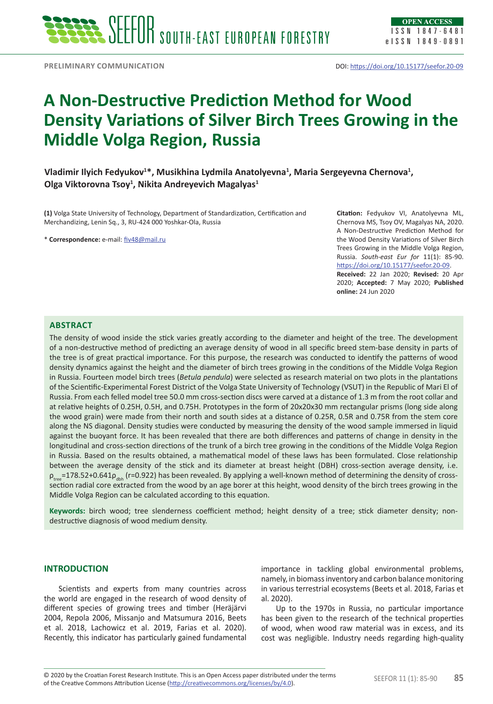# **A Non-Destructive Prediction Method for Wood Density Variations of Silver Birch Trees Growing in the Middle Volga Region, Russia**

Vladimir Ilyich Fedyukov<sup>1\*</sup>, Musikhina Lydmila Anatolyevna<sup>1</sup>, Maria Sergeyevna Chernova<sup>1</sup>, **Olga Viktorovna Tsoy1 , Nikita Andreyevich Magalyas1**

**(1)** Volga State University of Technology, Department of Standardization, Certification and Merchandizing, Lenin Sq., 3, RU-424 000 Yoshkar-Ola, Russia

\* **Correspondence:** e-mail: [fiv48@mail.ru](mailto:fiv48@mail.ru)

**Citation:** Fedyukov VI, Anatolyevna ML, Chernova MS, Tsoy OV, Magalyas NA, 2020. A Non-Destructive Prediction Method for the Wood Density Variations of Silver Birch Trees Growing in the Middle Volga Region, Russia. *South-east Eur for* 11(1): 85-90. <https://doi.org/10.15177/seefor.20-09>.

**Received:** 22 Jan 2020; **Revised:** 20 Apr 2020; **Accepted:** 7 May 2020; **Published online:** 24 Jun 2020

## **Abstract**

The density of wood inside the stick varies greatly according to the diameter and height of the tree. The development of a non-destructive method of predicting an average density of wood in all specific breed stem-base density in parts of the tree is of great practical importance. For this purpose, the research was conducted to identify the patterns of wood density dynamics against the height and the diameter of birch trees growing in the conditions of the Middle Volga Region in Russia. Fourteen model birch trees (*Betula pendula*) were selected as research material on two plots in the plantations of the Scientific-Experimental Forest District of the Volga State University of Technology (VSUT) in the Republic of Mari El of Russia. From each felled model tree 50.0 mm cross-section discs were carved at a distance of 1.3 m from the root collar and at relative heights of 0.25H, 0.5H, and 0.75H. Prototypes in the form of 20x20x30 mm rectangular prisms (long side along the wood grain) were made from their north and south sides at a distance of 0.25R, 0.5R and 0.75R from the stem core along the NS diagonal. Density studies were conducted by measuring the density of the wood sample immersed in liquid against the buoyant force. It has been revealed that there are both differences and patterns of change in density in the longitudinal and cross-section directions of the trunk of a birch tree growing in the conditions of the Middle Volga Region in Russia. Based on the results obtained, a mathematical model of these laws has been formulated. Сlose relationship between the average density of the stick and its diameter at breast height (DBH) cross-section average density, i.e.  $\rho_{\text{max}}$ =178.52+0.641 $\rho_{\text{max}}$  (r=0.922) has been revealed. By applying a well-known method of determining the density of crosssection radial core extracted from the wood by an age borer at this height, wood density of the birch trees growing in the Middle Volga Region can be calculated according to this equation.

**Keywords:** birch wood; tree slenderness coefficient method; height density of a tree; stick diameter density; nondestructive diagnosis of wood medium density.

#### **INTRODUCTION**

Scientists and experts from many countries across the world are engaged in the research of wood density of different species of growing trees and timber (Heräjärvi 2004, Repola 2006, Missanjo and Matsumura 2016, Beets et al. 2018, Lachowicz et al. 2019, Farias et al. 2020). Recently, this indicator has particularly gained fundamental

importance in tackling global environmental problems, namely, in biomass inventory and carbon balance monitoring in various terrestrial ecosystems (Beets et al. 2018, Farias et al. 2020).

Up to the 1970s in Russia, no particular importance has been given to the research of the technical properties of wood, when wood raw material was in excess, and its cost was negligible. Industry needs regarding high-quality

© 2020 by the Croatian Forest Research Institute. This is an Open Access paper distributed under the terms SEEFOR 11 (1): 85-90 **85**<br>of the Croative Commons Attribution License (http://croativecommons.org/licenses/by/4.0) of the Creative Commons Attribution License (<http://creativecommons.org/licenses/by/4.0>).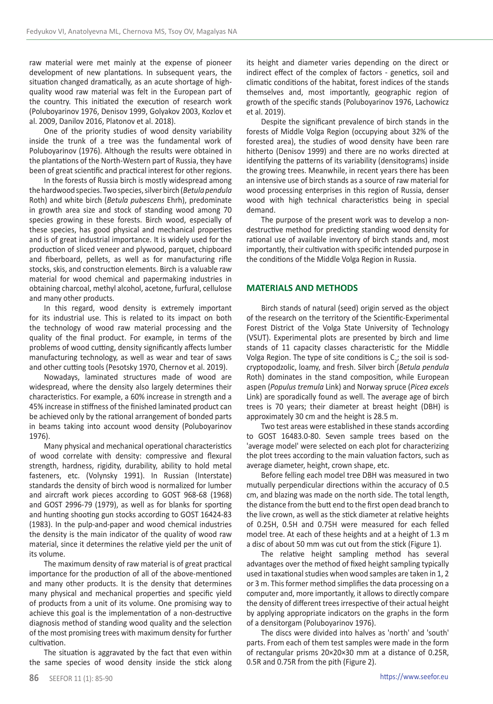raw material were met mainly at the expense of pioneer development of new plantations. In subsequent years, the situation changed dramatically, as an acute shortage of highquality wood raw material was felt in the European part of the country. This initiated the execution of research work (Poluboyarinov 1976, Denisov 1999, Golyakov 2003, Kozlov et al. 2009, Danilov 2016, Platonov et al. 2018).

One of the priority studies of wood density variability inside the trunk of a tree was the fundamental work of Poluboyarinov (1976). Although the results were obtained in the plantations of the North-Western part of Russia, they have been of great scientific and practical interest for other regions.

In the forests of Russia birch is mostly widespread among the hardwood species. Two species, silver birch (*Betula pendula*  Roth) and white birch (*Betula pubescens* Ehrh), predominate in growth area size and stock of standing wood among 70 species growing in these forests. Birch wood, especially of these species, has good physical and mechanical properties and is of great industrial importance. It is widely used for the production of sliced veneer and plywood, parquet, chipboard and fiberboard, pellets, as well as for manufacturing rifle stocks, skis, and construction elements. Birch is a valuable raw material for wood chemical and papermaking industries in obtaining charcoal, methyl alcohol, acetone, furfural, cellulose and many other products.

In this regard, wood density is extremely important for its industrial use. This is related to its impact on both the technology of wood raw material processing and the quality of the final product. For example, in terms of the problems of wood cutting, density significantly affects lumber manufacturing technology, as well as wear and tear of saws and other cutting tools (Pesotsky 1970, Chernov et al. 2019).

Nowadays, laminated structures made of wood are widespread, where the density also largely determines their characteristics. For example, a 60% increase in strength and a 45% increase in stiffness of the finished laminated product can be achieved only by the rational arrangement of bonded parts in beams taking into account wood density (Poluboyarinov 1976).

Many physical and mechanical operational characteristics of wood correlate with density: compressive and flexural strength, hardness, rigidity, durability, ability to hold metal fasteners, etc. (Volynsky 1991). In Russian (Interstate) standards the density of birch wood is normalized for lumber and aircraft work pieces according to GOST 968-68 (1968) and GOST 2996-79 (1979), as well as for blanks for sporting and hunting shooting gun stocks according to GOST 16424-83 (1983). In the pulp-and-paper and wood chemical industries the density is the main indicator of the quality of wood raw material, since it determines the relative yield per the unit of its volume.

The maximum density of raw material is of great practical importance for the production of all of the above-mentioned and many other products. It is the density that determines many physical and mechanical properties and specific yield of products from a unit of its volume. One promising way to achieve this goal is the implementation of a non-destructive diagnosis method of standing wood quality and the selection of the most promising trees with maximum density for further cultivation.

The situation is aggravated by the fact that even within the same species of wood density inside the stick along

its height and diameter varies depending on the direct or indirect effect of the complex of factors - genetics, soil and climatic conditions of the habitat, forest indices of the stands themselves and, most importantly, geographic region of growth of the specific stands (Poluboyarinov 1976, Lachowicz et al. 2019).

Despite the significant prevalence of birch stands in the forests of Middle Volga Region (occupying about 32% of the forested area), the studies of wood density have been rare hitherto (Denisov 1999) and there are no works directed at identifying the patterns of its variability (densitograms) inside the growing trees. Meanwhile, in recent years there has been an intensive use of birch stands as a source of raw material for wood processing enterprises in this region of Russia, denser wood with high technical characteristics being in special demand.

The purpose of the present work was to develop a nondestructive method for predicting standing wood density for rational use of available inventory of birch stands and, most importantly, their cultivation with specific intended purpose in the conditions of the Middle Volga Region in Russia.

### **MATERIALS AND METHODS**

Birch stands of natural (seed) origin served as the object of the research on the territory of the Scientific-Experimental Forest District of the Volga State University of Technology (VSUT). Experimental plots are presented by birch and lime stands of 11 capacity classes characteristic for the Middle Volga Region. The type of site conditions is  $C_2$ ; the soil is sodcryptopodzolic, loamy, and fresh. Silver birch (*Betula pendula*  Roth) dominates in the stand composition, while European aspen (*Populus tremula* Link) and Norway spruce (*Picea excels*  Link) are sporadically found as well. The average age of birch trees is 70 years; their diameter at breast height (DBH) is approximately 30 cm and the height is 28.5 m.

Two test areas were established in these stands according to GOST 16483.0-80. Seven sample trees based on the 'average model' were selected on each plot for characterizing the plot trees according to the main valuation factors, such as average diameter, height, crown shape, etc.

Before felling each model tree DBH was measured in two mutually perpendicular directions within the accuracy of 0.5 cm, and blazing was made on the north side. The total length, the distance from the butt end to the first open dead branch to the live crown, as well as the stick diameter at relative heights of 0.25H, 0.5H and 0.75H were measured for each felled model tree. At each of these heights and at a height of 1.3 m a disc of about 50 mm was cut out from the stick (Figure 1).

The relative height sampling method has several advantages over the method of fixed height sampling typically used in taxational studies when wood samples are taken in 1, 2 or 3 m. This former method simplifies the data processing on a computer and, more importantly, it allows to directly compare the density of different trees irrespective of their actual height by applying appropriate indicators on the graphs in the form of a densitorgam (Poluboyarinov 1976).

The discs were divided into halves as 'north' and 'south' parts. From each of them test samples were made in the form of rectangular prisms 20×20×30 mm at a distance of 0.25R, 0.5R and 0.75R from the pith (Figure 2).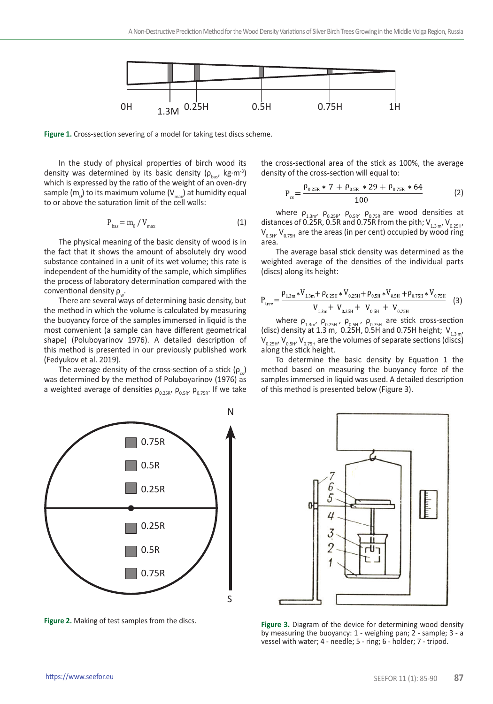

**Figure 1.** Cross-section severing of a model for taking test discs scheme.

In the study of physical properties of birch wood its density was determined by its basic density ( $\rho_{\text{bas}}$ , kg⋅m-3) which is expressed by the ratio of the weight of an oven-dry sample (m<sub>0</sub>) to its maximum volume (V<sub>max</sub>) at humidity equal to or above the saturation limit of the cell walls:

$$
P_{\text{bas}} = m_0 / V_{\text{max}} \tag{1}
$$

The physical meaning of the basic density of wood is in the fact that it shows the amount of absolutely dry wood substance contained in a unit of its wet volume; this rate is independent of the humidity of the sample, which simplifies the process of laboratory determination compared with the conventional density  $\rho_{\omega}$ .

There are several ways of determining basic density, but the method in which the volume is calculated by measuring the buoyancy force of the samples immersed in liquid is the most convenient (a sample can have different geometrical shape) (Poluboyarinov 1976). A detailed description of this method is presented in our previously published work (Fedyukov et al. 2019).

The average density of the cross-section of a stick  $(\rho)$ was determined by the method of Poluboyarinov (1976) as a weighted average of densities  $\rho_{0.25R}$ ,  $\rho_{0.5R}$ ,  $\rho_{0.75R}$ . If we take



**Figure 2.** Making of test samples from the discs.

the cross-sectional area of the stick as 100%, the average density of the cross-section will equal to:

$$
P_{cs} = \frac{\rho_{0.25R} \cdot 7 + \rho_{0.5R} \cdot 29 + \rho_{0.75R} \cdot 64}{100}
$$
 (2)

where  $\rho_{1.3m'}$ ,  $\rho_{0.25R'}$ ,  $\rho_{0.5R'}$ ,  $\rho_{0.75R}$  are wood densities at distances of 0.25R, 0.5R and 0.75R from the pith;  $V_{1.3 \text{ m}}$ ,  $V_{0.25 \text{ H}}$  $V_{0.5H}$ ,  $V_{0.75H}$  are the areas (in per cent) occupied by wood ring area.

The average basal stick density was determined as the weighted average of the densities of the individual parts (discs) along its height:

$$
P_{\text{tree}} = \frac{P_{1.3\text{m}} * V_{1.3\text{m}} + P_{0.25\text{H}} * V_{0.25\text{H}} + P_{0.5\text{H}} * V_{0.5\text{H}} + P_{0.75\text{H}} * V_{0.75\text{H}}}{V_{1.3\text{m}} + V_{0.25\text{H}} + V_{0.5\text{H}} + V_{0.75\text{H}}}
$$
(3)

where  $\rho_{1.3m}$ ,  $\rho_{0.25H}$ ,  $\rho_{0.5H}$ ,  $\rho_{0.75H}$  are stick cross-section (disc) density at 1.3 m, 0.25H, 0.5H and 0.75H height;  $V_{1.3\,\text{m}}$ ,  $V_{0.25H}$ ,  $V_{0.5H}$ ,  $V_{0.75H}$  are the volumes of separate sections (discs) along the stick height.

To determine the basic density by Equation 1 the method based on measuring the buoyancy force of the samples immersed in liquid was used. A detailed description of this method is presented below (Figure 3).



**Figure 3.** Diagram of the device for determining wood density by measuring the buoyancy: 1 - weighing pan; 2 - sample; 3 - a vessel with water; 4 - needle; 5 - ring; 6 - holder; 7 - tripod.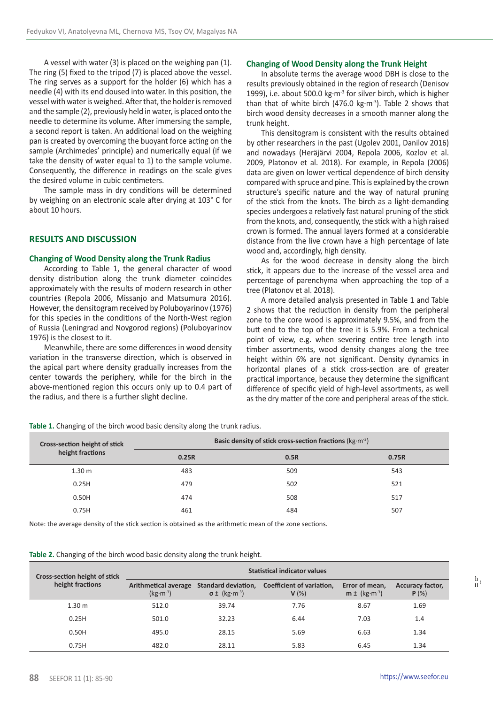A vessel with water (3) is placed on the weighing pan (1). The ring (5) fixed to the tripod (7) is placed above the vessel. The ring serves as a support for the holder (6) which has a needle (4) with its end doused into water. In this position, the vessel with water is weighed. After that, the holder is removed and the sample (2), previously held in water, is placed onto the needle to determine its volume. After immersing the sample, a second report is taken. An additional load on the weighing pan is created by overcoming the buoyant force acting on the sample (Archimedes' principle) and numerically equal (if we take the density of water equal to 1) to the sample volume. Consequently, the difference in readings on the scale gives the desired volume in cubic centimeters.

The sample mass in dry conditions will be determined by weighing on an electronic scale after drying at 103° C for about 10 hours.

## **RESULTS AND DISCUSSION**

#### **Changing of Wood Density along the Trunk Radius**

According to Table 1, the general character of wood density distribution along the trunk diameter coincides approximately with the results of modern research in other countries (Repola 2006, Missanjo and Matsumura 2016). However, the densitogram received by Poluboyarinov (1976) for this species in the conditions of the North-West region of Russia (Leningrad and Novgorod regions) (Poluboyarinov 1976) is the closest to it.

Meanwhile, there are some differences in wood density variation in the transverse direction, which is observed in the apical part where density gradually increases from the center towards the periphery, while for the birch in the above-mentioned region this occurs only up to 0.4 part of the radius, and there is a further slight decline.

## **Changing of Wood Density along the Trunk Height**

In absolute terms the average wood DBH is close to the results previously obtained in the region of research (Denisov 1999), i.e. about 500.0 kg∙m-3 for silver birch, which is higher than that of white birch (476.0 kg⋅m<sup>-3</sup>). Table 2 shows that birch wood density decreases in a smooth manner along the trunk height.

This densitogram is consistent with the results obtained by other researchers in the past (Ugolev 2001, Danilov 2016) and nowadays (Heräjärvi 2004, Repola 2006, Kozlov et al. 2009, Platonov et al. 2018). For example, in Repola (2006) data are given on lower vertical dependence of birch density compared with spruce and pine. This is explained by the crown structure's specific nature and the way of natural pruning of the stick from the knots. The birch as a light-demanding species undergoes a relatively fast natural pruning of the stick from the knots, and, consequently, the stick with a high raised crown is formed. The annual layers formed at a considerable distance from the live crown have a high percentage of late wood and, accordingly, high density.

As for the wood decrease in density along the birch stick, it appears due to the increase of the vessel area and percentage of parenchyma when approaching the top of a tree (Platonov et al. 2018).

A more detailed analysis presented in Table 1 and Table 2 shows that the reduction in density from the peripheral zone to the core wood is approximately 9.5%, and from the butt end to the top of the tree it is 5.9%. From a technical point of view, e.g. when severing entire tree length into timber assortments, wood density changes along the tree height within 6% are not significant. Density dynamics in horizontal planes of a stick cross-section are of greater practical importance, because they determine the significant difference of specific yield of high-level assortments, as well as the dry matter of the core and peripheral areas of the stick.

**Table 1.** Changing of the birch wood basic density along the trunk radius.

| Cross-section height of stick<br>height fractions | Basic density of stick cross-section fractions ( $kg·m-3$ ) |      |       |  |  |
|---------------------------------------------------|-------------------------------------------------------------|------|-------|--|--|
|                                                   | 0.25R                                                       | 0.5R | 0.75R |  |  |
| 1.30 <sub>m</sub>                                 | 483                                                         | 509  | 543   |  |  |
| 0.25H                                             | 479                                                         | 502  | 521   |  |  |
| 0.50H                                             | 474                                                         | 508  | 517   |  |  |
| 0.75H                                             | 461                                                         | 484  | 507   |  |  |

Note: the average density of the stick section is obtained as the arithmetic mean of the zone sections.

**Table 2.** Changing of the birch wood basic density along the trunk height.

| <b>Cross-section height of stick</b><br>height fractions | <b>Statistical indicator values</b> |                                |                                                       |                                             |                                  |  |
|----------------------------------------------------------|-------------------------------------|--------------------------------|-------------------------------------------------------|---------------------------------------------|----------------------------------|--|
|                                                          | Arithmetical average<br>$(kg·m-3)$  | $\sigma \pm (kg \cdot m^{-3})$ | Standard deviation, Coefficient of variation,<br>V(%) | Error of mean,<br>$m \pm (kg \cdot m^{-3})$ | <b>Accuracy factor,</b><br>P(% ) |  |
| 1.30 <sub>m</sub>                                        | 512.0                               | 39.74                          | 7.76                                                  | 8.67                                        | 1.69                             |  |
| 0.25H                                                    | 501.0                               | 32.23                          | 6.44                                                  | 7.03                                        | 1.4                              |  |
| 0.50H                                                    | 495.0                               | 28.15                          | 5.69                                                  | 6.63                                        | 1.34                             |  |
| 0.75H                                                    | 482.0                               | 28.11                          | 5.83                                                  | 6.45                                        | 1.34                             |  |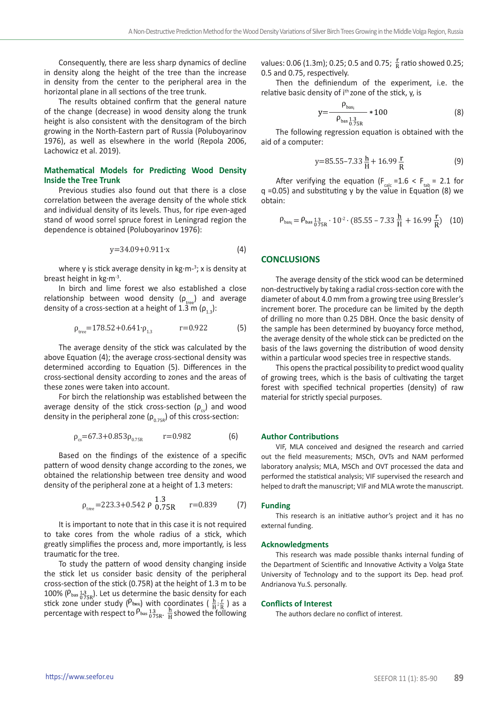Consequently, there are less sharp dynamics of decline in density along the height of the tree than the increase in density from the center to the peripheral area in the horizontal plane in all sections of the tree trunk.

The results obtained confirm that the general nature of the change (decrease) in wood density along the trunk height is also consistent with the densitogram of the birch growing in the North-Eastern part of Russia (Poluboyarinov 1976), as well as elsewhere in the world (Repola 2006, Lachowicz et al. 2019).

### **Mathematical Models for Predicting Wood Density Inside the Tree Trunk**

Previous studies also found out that there is a close correlation between the average density of the whole stick and individual density of its levels. Thus, for ripe even-aged stand of wood sorrel spruce forest in Leningrad region the dependence is obtained (Poluboyarinov 1976):

$$
y=34.09+0.911 \cdot x \tag{4}
$$

where y is stick average density in kg·m-<sup>3</sup>; x is density at breast height in kg∙m-3.

In birch and lime forest we also established a close relationship between wood density ( $\rho_{\text{tree}}$ ) and average density of a cross-section at a height of 1.3 m ( $\rho_{1,3}$ ):

$$
\rho_{\text{tree}} = 178.52 + 0.641 \cdot \rho_{1.3} \qquad \qquad \text{r} = 0.922 \tag{5}
$$

The average density of the stick was calculated by the above Equation (4); the average cross-sectional density was determined according to Equation (5). Differences in the cross-sectional density according to zones and the areas of these zones were taken into account.

For birch the relationship was established between the average density of the stick cross-section  $(p_{c})$  and wood density in the peripheral zone  $(\rho_{0.75R})$  of this cross-section:

$$
\rho_{cs} = 67.3 + 0.853 \rho_{0.75R} \qquad r = 0.982 \tag{6}
$$

Based on the findings of the existence of a specific pattern of wood density change according to the zones, we obtained the relationship between tree density and wood density of the peripheral zone at a height of 1.3 meters:

$$
\rho_{\text{tree}} = 223.3 + 0.542 \cdot \rho \frac{1.3}{0.75R} \quad r = 0.839 \tag{7}
$$

It is important to note that in this case it is not required to take cores from the whole radius of a stick, which greatly simplifies the process and, more importantly, is less traumatic for the tree.

To study the pattern of wood density changing inside the stick let us consider basic density of the peripheral cross-section of the stick (0.75R) at the height of 1.3 m to be 100% ( $P_{\text{bas}}$  13<sub>075R</sub>). Let us determine the basic density for each stick zone under study ( $P_{\text{bas}}$ ) with coordinates (  $\frac{\text{h}}{\text{H}}$ ;  $\frac{\text{r}}{\text{R}}$  ) as a percentage with respect to  $P_{\text{bas}}\frac{13}{0.75R}$ .  $\frac{11}{11}$  showed the following values: 0.06 (1.3m); 0.25; 0.5 and 0.75;  $\frac{r}{R}$  ratio showed 0.25; 0.5 and 0.75, respectively.

Then the definiendum of the experiment, i.e. the relative basic density of i<sup>th</sup> zone of the stick, y, is

$$
y = \frac{\rho_{\text{bas}}}{\rho_{\text{bas}} \frac{1.3}{0.75R}} \times 100
$$
 (8)

The following regression equation is obtained with the aid of a computer:

$$
y=85.55-7.33\frac{h}{H}+16.99\frac{r}{R}
$$
 (9)

After verifying the equation ( $F_{\text{calc}} = 1.6 < F_{\text{tab}} = 2.1$  for  $q = 0.05$ ) and substituting y by the value in Equation (8) we obtain:

$$
\rho_{\text{bas}_i} = \rho_{\text{bas}} \frac{13}{0.75 \text{R}} \cdot 10^{-2} \cdot (85.55 - 7.33 \frac{\text{h}}{\text{H}} + 16.99 \frac{\text{r}}{\text{R}}) \tag{10}
$$

#### **CONCLUSIONS**

The average density of the stick wood can be determined non-destructively by taking a radial cross-section core with the diameter of about 4.0 mm from a growing tree using Bressler's increment borer. The procedure can be limited by the depth of drilling no more than 0.25 DBH. Once the basic density of the sample has been determined by buoyancy force method, the average density of the whole stick can be predicted on the basis of the laws governing the distribution of wood density within a particular wood species tree in respective stands.

This opens the practical possibility to predict wood quality of growing trees, which is the basis of cultivating the target forest with specified technical properties (density) of raw material for strictly special purposes.

#### **Author Contributions**

VIF, MLA conceived and designed the research and carried out the field measurements; MSCh, OVTs and NAM performed laboratory analysis; MLA, MSCh and OVT processed the data and performed the statistical analysis; VIF supervised the research and helped to draft the manuscript; VIF and MLA wrote the manuscript.

#### **Funding**

This research is an initiative author's project and it has no external funding.

#### **Acknowledgments**

This research was made possible thanks internal funding of the Department of Scientific and Innovative Activity a Volga State University of Technology and to the support its Dep. head prof. Andrianova Yu.S. personally.

#### **Conflicts of Interest**

The authors declare no conflict of interest.